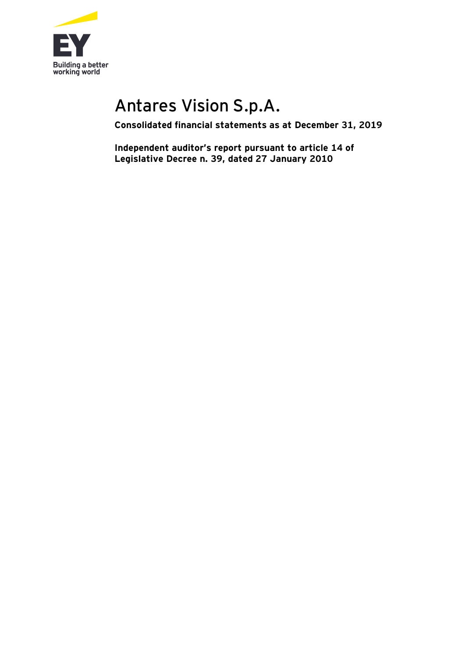

# Antares Vision S.p.A.

**Consolidated financial statements as at December 31, 2019**

**Independent auditor's report pursuant to article 14 of Legislative Decree n. 39, dated 27 January 2010**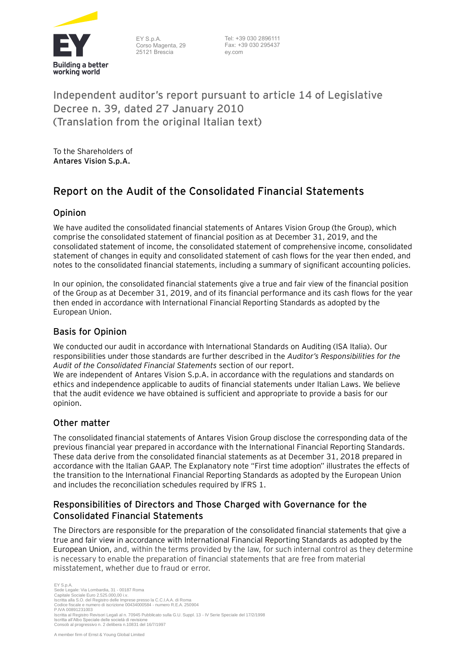

EY S.p.A. Corso Magenta, 29 25121 Brescia

Tel: +39 030 2896111 Fax: +39 030 295437 ey.com

## **Independent auditor's report pursuant to article 14 of Legislative Decree n. 39, dated 27 January 2010 (Translation from the original Italian text)**

To the Shareholders of **Antares Vision S.p.A.**

# **Report on the Audit of the Consolidated Financial Statements**

#### **Opinion**

We have audited the consolidated financial statements of Antares Vision Group (the Group), which comprise the consolidated statement of financial position as at December 31, 2019, and the consolidated statement of income, the consolidated statement of comprehensive income, consolidated statement of changes in equity and consolidated statement of cash flows for the year then ended, and notes to the consolidated financial statements, including a summary of significant accounting policies.

In our opinion, the consolidated financial statements give a true and fair view of the financial position of the Group as at December 31, 2019, and of its financial performance and its cash flows for the year then ended in accordance with International Financial Reporting Standards as adopted by the European Union.

#### **Basis for Opinion**

We conducted our audit in accordance with International Standards on Auditing (ISA Italia). Our responsibilities under those standards are further described in the *Auditor's Responsibilities for the Audit of the Consolidated Financial Statements* section of our report.

We are independent of Antares Vision S.p.A. in accordance with the regulations and standards on ethics and independence applicable to audits of financial statements under Italian Laws. We believe that the audit evidence we have obtained is sufficient and appropriate to provide a basis for our opinion.

#### **Other matter**

The consolidated financial statements of Antares Vision Group disclose the corresponding data of the previous financial year prepared in accordance with the International Financial Reporting Standards. These data derive from the consolidated financial statements as at December 31, 2018 prepared in accordance with the Italian GAAP. The Explanatory note "First time adoption" illustrates the effects of the transition to the International Financial Reporting Standards as adopted by the European Union and includes the reconciliation schedules required by IFRS 1.

#### **Responsibilities of Directors and Those Charged with Governance for the Consolidated Financial Statements**

The Directors are responsible for the preparation of the consolidated financial statements that give a true and fair view in accordance with International Financial Reporting Standards as adopted by the European Union, and, within the terms provided by the law, for such internal control as they determine is necessary to enable the preparation of financial statements that are free from material misstatement, whether due to fraud or error.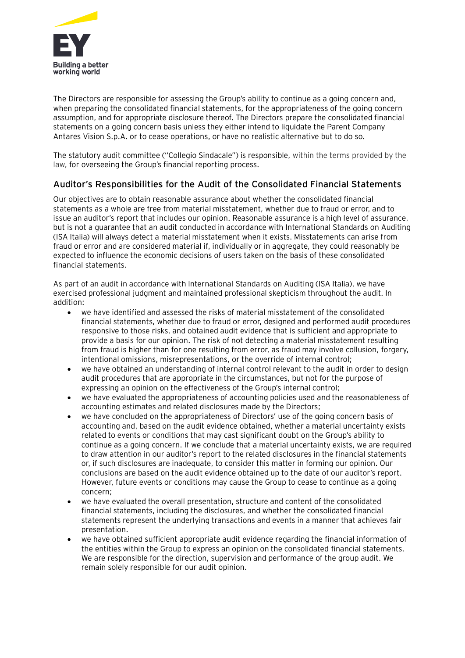

The Directors are responsible for assessing the Group's ability to continue as a going concern and, when preparing the consolidated financial statements, for the appropriateness of the going concern assumption, and for appropriate disclosure thereof. The Directors prepare the consolidated financial statements on a going concern basis unless they either intend to liquidate the Parent Company Antares Vision S.p.A. or to cease operations, or have no realistic alternative but to do so.

The statutory audit committee ("Collegio Sindacale") is responsible, within the terms provided by the law, for overseeing the Group's financial reporting process.

#### **Auditor's Responsibilities for the Audit of the Consolidated Financial Statements**

Our objectives are to obtain reasonable assurance about whether the consolidated financial statements as a whole are free from material misstatement, whether due to fraud or error, and to issue an auditor's report that includes our opinion. Reasonable assurance is a high level of assurance, but is not a guarantee that an audit conducted in accordance with International Standards on Auditing (ISA Italia) will always detect a material misstatement when it exists. Misstatements can arise from fraud or error and are considered material if, individually or in aggregate, they could reasonably be expected to influence the economic decisions of users taken on the basis of these consolidated financial statements.

As part of an audit in accordance with International Standards on Auditing (ISA Italia), we have exercised professional judgment and maintained professional skepticism throughout the audit. In addition:

- we have identified and assessed the risks of material misstatement of the consolidated financial statements, whether due to fraud or error, designed and performed audit procedures responsive to those risks, and obtained audit evidence that is sufficient and appropriate to provide a basis for our opinion. The risk of not detecting a material misstatement resulting from fraud is higher than for one resulting from error, as fraud may involve collusion, forgery, intentional omissions, misrepresentations, or the override of internal control;
- we have obtained an understanding of internal control relevant to the audit in order to design audit procedures that are appropriate in the circumstances, but not for the purpose of expressing an opinion on the effectiveness of the Group's internal control;
- we have evaluated the appropriateness of accounting policies used and the reasonableness of accounting estimates and related disclosures made by the Directors;
- we have concluded on the appropriateness of Directors' use of the going concern basis of accounting and, based on the audit evidence obtained, whether a material uncertainty exists related to events or conditions that may cast significant doubt on the Group's ability to continue as a going concern. If we conclude that a material uncertainty exists, we are required to draw attention in our auditor's report to the related disclosures in the financial statements or, if such disclosures are inadequate, to consider this matter in forming our opinion. Our conclusions are based on the audit evidence obtained up to the date of our auditor's report. However, future events or conditions may cause the Group to cease to continue as a going concern;
- we have evaluated the overall presentation, structure and content of the consolidated financial statements, including the disclosures, and whether the consolidated financial statements represent the underlying transactions and events in a manner that achieves fair presentation.
- we have obtained sufficient appropriate audit evidence regarding the financial information of the entities within the Group to express an opinion on the consolidated financial statements. We are responsible for the direction, supervision and performance of the group audit. We remain solely responsible for our audit opinion.